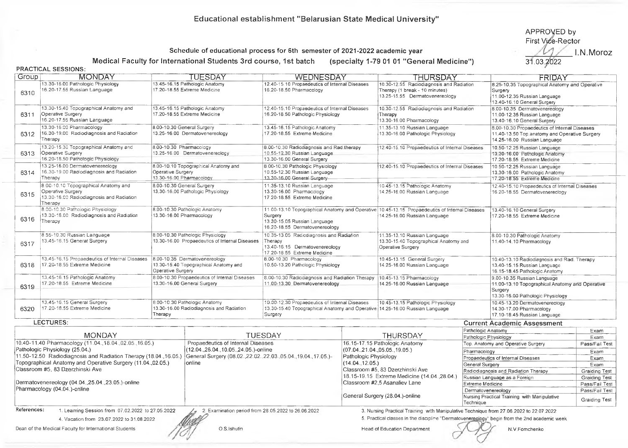## Educational establishment "Beiarusian State Medical University"

APPROVED by First Vide-Rector 31.03.2022 I. N. Moroz

## Schedule of educational process for 6th semester of 2021-2022 academic year

Medical Faculty for International Students 3rd course, 1st batch (specialty 1-79 01 01 "General Medicine")

## PRACTICAL SESSIONS:

| Group                                                                                                                                                              | <b>MONDAY</b>                                                                                                                                            |                                                                                             | TUESDAY                                                                                                                                                                        | WEDNESDAY                                                                                                                                                                   |                                                                                                               | <b>THURSDAY</b>                                                                                                                                                                                                         |                                                                                            | FRIDAY                                                                                                                         |                        |
|--------------------------------------------------------------------------------------------------------------------------------------------------------------------|----------------------------------------------------------------------------------------------------------------------------------------------------------|---------------------------------------------------------------------------------------------|--------------------------------------------------------------------------------------------------------------------------------------------------------------------------------|-----------------------------------------------------------------------------------------------------------------------------------------------------------------------------|---------------------------------------------------------------------------------------------------------------|-------------------------------------------------------------------------------------------------------------------------------------------------------------------------------------------------------------------------|--------------------------------------------------------------------------------------------|--------------------------------------------------------------------------------------------------------------------------------|------------------------|
| 6310                                                                                                                                                               | 13.30-16.00 Pathologic Physiology<br>16.20-17.55 Russian Language                                                                                        | 13.45-16.15 Pathologic Anatomy<br>17.20-18.55 Extreme Medicine                              |                                                                                                                                                                                | 12.40-15.10 Propaedeutics of Internal Diseases<br>16.20-18.50 Pharmacology                                                                                                  |                                                                                                               | 10.30-12.55 Radiodiagnosis and Radiation<br>Therapy (1 break - 10 minutes)<br>13.25-15.55 Dermatovenereology                                                                                                            |                                                                                            | 8.25-10.35 Topographical Anatomy and Operative<br>Surgery<br>11.00-12.35 Russian Language<br>13.40-16.10 General Surgery       |                        |
| 6311                                                                                                                                                               | 13.30-15.40 Topographical Anatomy and<br>Operative Surgery<br>16.20-17.55 Russian Language                                                               | 13.45-16.15 Pathologic Anatomy<br>17.20-18.55 Extreme Medicine                              |                                                                                                                                                                                | 12.40-15.10 Propaedeutics of Internal Diseases<br>16.20-18.50 Pathologic Physiology                                                                                         |                                                                                                               | 10.30-12.55 Radiodiagnosis and Radiation<br>Therapy<br>13.30-16.00 Pharmacology                                                                                                                                         |                                                                                            | 8.00-10.35 Dermatovenereology<br>11.00-12.35 Russian Language<br>13.40-16.10 General Surgery                                   |                        |
| 6312                                                                                                                                                               | 13.30-16.00 Pharmacology<br>16.30-19.00 Radiodiagnosis and Radiation<br>Therapy                                                                          | 8.00-10.30 General Surgery<br>13.25-16.00 Dermatovenereology                                |                                                                                                                                                                                | 13.45-16.15 Pathologic Anatomy<br>17.20-18.55 Extreme Medicine                                                                                                              |                                                                                                               | 11.35-13.10 Russian Language<br>13.30-16.00 Pathologic Physiology                                                                                                                                                       |                                                                                            | 8.00-10.30 Propaedeutics of Internal Diseases<br>11.40-13.50 Top.anatomy and Operative Surgery<br>14.25-16.00 Russian Language |                        |
| 6313                                                                                                                                                               | 13.20-15.30 Topographical Anatomy and<br>Operative Surgery<br>16.20-18.50 Pathologic Physiology                                                          | 8.00-10.30 Pharmacology<br>13.25-16.00 Dermatovenereology                                   |                                                                                                                                                                                | 8.00-10.30 Radiodiagnosis and Rad therapy<br>10.55-12.30 Russian Language<br>13.30-16.00 General Surgery                                                                    |                                                                                                               | 12.40-15.10 Propaedeutics of Internal Diseases                                                                                                                                                                          |                                                                                            | 10.50-12.25 Russian Language<br>13.30-16.00 Pathologic Anatomy<br>17.20-18.55 Extreme Medicine                                 |                        |
| 6314                                                                                                                                                               | 13.25-16.00 Dermatovenereology<br>16.30-19.00 Radiodiagnosis and Radiation<br>Therapy                                                                    | 8.00-10.10 Topographical Anatomy and<br>Operative Surgery<br>13.30-16.00 Pharmacology       |                                                                                                                                                                                | 8.00-10.30 Pathologic Physiology<br>10.55-12.30 Russian Language<br>13.30-16.00 General Surgery-                                                                            |                                                                                                               | 12.40-15.10 Propaedeutics of Internal Diseases                                                                                                                                                                          |                                                                                            | 10.50-12.25 Russian Language<br>13.30-16.00 Pathologic Anatomy<br>17.20-18.55 Extreme Medicine                                 |                        |
| 6315                                                                                                                                                               | 8.00-10.10 Topographical Anatomy and<br>Operative Surgery<br>13.30-16.00 Radiodiagnosis and Radiation<br>Therapy                                         | 8.00-10.30 General Surgery<br>13,30-16.00 Pathologic Physiology                             |                                                                                                                                                                                | 11.35-13.10 Russian Language<br>13.30-16.00 Pharmacology<br>17.20-18.55 Extreme Medicine                                                                                    |                                                                                                               | 10.45-13.15 Pathologic Anatomy<br>14.25-16.00 Russian Language                                                                                                                                                          |                                                                                            | 12.40-15.10 Propaedeutics of Internal Diseases<br>16.20-18.55 Dermatovenereclogy                                               |                        |
| 6316                                                                                                                                                               | 8.00-10.30 Pathologic Physiology<br>13.30-16.00 Radiodiagnosis and Radiation<br>Therapy                                                                  | 8.00-10.30 Pathologic Anatomy<br>13.30-16.00 Pharmacology                                   |                                                                                                                                                                                | 11.00-13.10 Topographical Anatomy and Operative 10.45-13.15 Propaedeutics of Internal Diseases<br>Surgery<br>13.30-15.05 Russian Language<br>16.20-18.55 Dermatovenereology |                                                                                                               | 14.25-16.00 Russian Language                                                                                                                                                                                            |                                                                                            | 13.40-16.10 General Surgery<br>17.20-18.55 Extreme Medicine                                                                    |                        |
| 6317                                                                                                                                                               | 8.55-10.30 Russian Language<br>13.45-16.15 General Surgery                                                                                               | 8.00-10.30 Pathologic Physiology<br>13.30-16.00 Propaedeutics of Internal Diseases          |                                                                                                                                                                                | 10.35-13.05 Radiodiagnosis and Radiation<br>Therapy<br>13.40-16.15 Dermatovenereology<br>17.20-18.55 Extreme Medicine                                                       |                                                                                                               | 11.35-13.10 Russian Language<br>13.30-15.40 Topographical Anatomy and<br>Operative Surgery                                                                                                                              |                                                                                            | 8.00-10.30 Pathologic Anatomy<br>11.40-14.10 Pharmacology                                                                      |                        |
| 6318                                                                                                                                                               | 13.45-16.15 Propaedeutics of Internal Diseases<br>17.20-18.55 Extreme Medicine                                                                           | 8.00-10.35 Dermatovenereology<br>13.30-15.40 Topographical Anatomy and<br>Operative Surgery |                                                                                                                                                                                | 8.00-10.30 Pharmacology<br>10.50-13.20 Pathologic Physiology                                                                                                                |                                                                                                               | 10.45-13.15 General Surgery<br>14.25-16.00 Russian Language                                                                                                                                                             |                                                                                            | 10.40-13.10 Radiodiagnosis and Rad. Therapy<br>13.40-15.15 Russian Language<br>16.15-18.45 Pathologic Anatomy                  |                        |
| 6319                                                                                                                                                               | 13.45-16.15 Pathologic Anatomy<br>17.20-18.55 Extreme Medicine                                                                                           | 8.00-10.30 Propaedeutics of Internal Diseases<br>13.30-16.00 General Surgery                |                                                                                                                                                                                | 8.00-10.30 Radiodiagnosis and Radiation Therapy<br>11.00-13.30 Dermatovenereology                                                                                           |                                                                                                               | 10.45-13.15 Pharmacology<br>14 25-16.00 Russian Language                                                                                                                                                                |                                                                                            | 9.00-10.35 Russian Language<br>11.00-13.10 Topographical Anatomy and Operative<br>Surgery<br>13.30-16.00 Pathologic Physiology |                        |
| 6320                                                                                                                                                               | 13.45-16.15 General Surgery<br>17.20-18.55 Extreme Medicine                                                                                              | Therapy                                                                                     | 8.00-10.30 Pathologic Anatomy<br>13.30-16.00 Radiodiagnosis and Radiation                                                                                                      | 10.00-12.30 Propaedeutics of Internal Diseases<br>13.30-15.40 Topographical Anatomy and Operative 14.25-16.00 Russian Language<br>Surgery                                   |                                                                                                               | 10.45-13.15 Pathologic Physiology                                                                                                                                                                                       |                                                                                            | 10.45-13.20 Dermatovenereology<br>14.30-17.00 Pharmacology<br>17.10-18.45 Russian Language                                     |                        |
|                                                                                                                                                                    | LECTURES:                                                                                                                                                |                                                                                             |                                                                                                                                                                                |                                                                                                                                                                             |                                                                                                               |                                                                                                                                                                                                                         |                                                                                            | <b>Current Academic Assessment</b>                                                                                             |                        |
|                                                                                                                                                                    | <b>MONDAY</b>                                                                                                                                            |                                                                                             |                                                                                                                                                                                |                                                                                                                                                                             |                                                                                                               | <b>THURSDAY</b>                                                                                                                                                                                                         | Pathologic Anatomy                                                                         |                                                                                                                                | Exam                   |
| 10.40-11.40 Pharmacology (11.04., 18.04., 02.05., 16.05.)                                                                                                          |                                                                                                                                                          |                                                                                             | <b>TUESDAY</b><br>Propaedeutics of Internal Diseases<br>(12.04., 26.04., 10.05., 24.05.)-online<br>General Surgery (08.02., 22.02., 22.03., 05.04., 19.04., 17.05.)-<br>online |                                                                                                                                                                             | 16.15-17.15 Pathologic Anatomy<br>(07.04., 21.04., 05.05., 19.05.)<br>Pathologic Physiology<br>(14.04.12.05.) |                                                                                                                                                                                                                         | Pathologic Physiology                                                                      |                                                                                                                                | Exam                   |
| Pathologic Physiology (25.04.)<br>11.50-12.50 Radiodiagnosis and Radiation Therapy (18.04., 16.05.)<br>Topographical Anatomy and Operative Surgery (11.04.,02.05.) |                                                                                                                                                          |                                                                                             |                                                                                                                                                                                |                                                                                                                                                                             |                                                                                                               |                                                                                                                                                                                                                         | Pharmacology                                                                               | Top. Anatomy and Operative Surgery                                                                                             | Pass/Fail Test<br>Exam |
|                                                                                                                                                                    |                                                                                                                                                          |                                                                                             |                                                                                                                                                                                |                                                                                                                                                                             |                                                                                                               |                                                                                                                                                                                                                         |                                                                                            | Propaedeutics of Internal Diseases                                                                                             | Exam                   |
|                                                                                                                                                                    |                                                                                                                                                          |                                                                                             |                                                                                                                                                                                |                                                                                                                                                                             |                                                                                                               |                                                                                                                                                                                                                         | General Surgery                                                                            |                                                                                                                                | Exam                   |
| Classroom #5, 83 Dzerzhinski Ave<br>Dermatovenereology (04.04., 25.04., 23.05.)-online<br>Pharmacology (04.04.)-online                                             |                                                                                                                                                          |                                                                                             |                                                                                                                                                                                |                                                                                                                                                                             |                                                                                                               | Classroom #5, 83 Dzerzhinski Ave                                                                                                                                                                                        |                                                                                            | Radiodiagnosis and Radiation Therapy                                                                                           | <b>Graiding Test</b>   |
|                                                                                                                                                                    |                                                                                                                                                          |                                                                                             |                                                                                                                                                                                |                                                                                                                                                                             | 18.15-19.15 Extreme Medicine (14.04.28.04.)                                                                   |                                                                                                                                                                                                                         | Russian Language as a Foreign                                                              | Graiding Test                                                                                                                  |                        |
|                                                                                                                                                                    |                                                                                                                                                          |                                                                                             |                                                                                                                                                                                | Classroom #2.5 Asanaliev Lane                                                                                                                                               |                                                                                                               |                                                                                                                                                                                                                         | <b>Extreme Medicine</b><br>Pass/Fail Test<br>Pass/Fail Test                                |                                                                                                                                |                        |
|                                                                                                                                                                    |                                                                                                                                                          |                                                                                             |                                                                                                                                                                                | General Surgery (28.04.)-online                                                                                                                                             |                                                                                                               | Technique                                                                                                                                                                                                               | Dermatovenereology<br>Nursing Practical Training with Manipulative<br><b>Graiding Test</b> |                                                                                                                                |                        |
| References:                                                                                                                                                        | 1. Learning Session from 07.02.2022 to 27.05.2022<br>4. Vacation from 23.07.2022 to 31.08.2022<br>Dean of the Medical Faculty for International Students |                                                                                             | 2. Examination period from 28.05.2022 to 26.06.2022<br>O.S.Ishutin                                                                                                             |                                                                                                                                                                             |                                                                                                               | 3. Nursing Practical Training with Manipulative Technique from 27.06.2022 to 22.07.2022<br>5. Practical classes in the discipline "Dermatovenereology" begin from the 2nd academic week<br>Head of Education Department |                                                                                            | N.V.Fomchenko                                                                                                                  |                        |
|                                                                                                                                                                    |                                                                                                                                                          |                                                                                             |                                                                                                                                                                                |                                                                                                                                                                             |                                                                                                               |                                                                                                                                                                                                                         |                                                                                            |                                                                                                                                |                        |